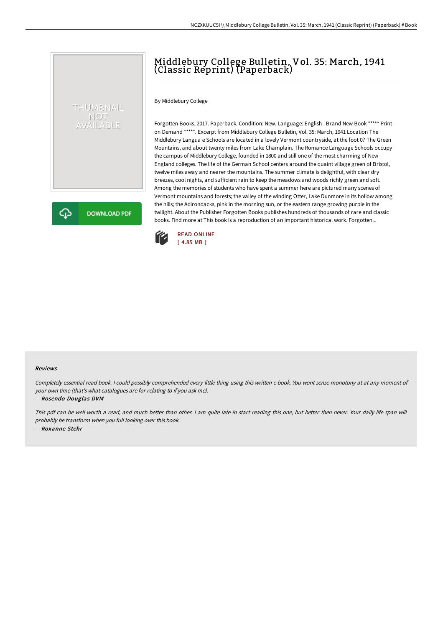# Middlebury College Bulletin, Vol. 35: March, 1941 (Classic Reprint) (Paperback)

By Middlebury College

THUMBNAIL NOT<br>AVAILABLE

**DOWNLOAD PDF** 

Forgotten Books, 2017. Paperback. Condition: New. Language: English . Brand New Book \*\*\*\*\* Print on Demand \*\*\*\*\*. Excerpt from Middlebury College Bulletin, Vol. 35: March, 1941 Location The Middlebury Langua e Schools are located in a lovely Vermont countryside, at the foot 0? The Green Mountains, and about twenty miles from Lake Champlain. The Romance Language Schools occupy the campus of Middlebury College, founded in 1800 and still one of the most charming of New England colleges. The life of the German School centers around the quaint village green of Bristol, twelve miles away and nearer the mountains. The summer climate is delightful, with clear dry breezes, cool nights, and sufficient rain to keep the meadows and woods richly green and soft. Among the memories of students who have spent a summer here are pictured many scenes of Vermont mountains and forests; the valley of the winding Otter, Lake Dunmore in its hollow among the hills; the Adirondacks, pink in the morning sun, or the eastern range growing purple in the twilight. About the Publisher Forgotten Books publishes hundreds of thousands of rare and classic books. Find more at This book is a reproduction of an important historical work. Forgotten...



#### Reviews

Completely essential read book. <sup>I</sup> could possibly comprehended every little thing using this written <sup>e</sup> book. You wont sense monotony at at any moment of your own time (that's what catalogues are for relating to if you ask me).

-- Rosendo Douglas DVM

⊕

This pdf can be well worth <sup>a</sup> read, and much better than other. <sup>I</sup> am quite late in start reading this one, but better then never. Your daily life span will probably be transform when you full looking over this book. -- Roxanne Stehr